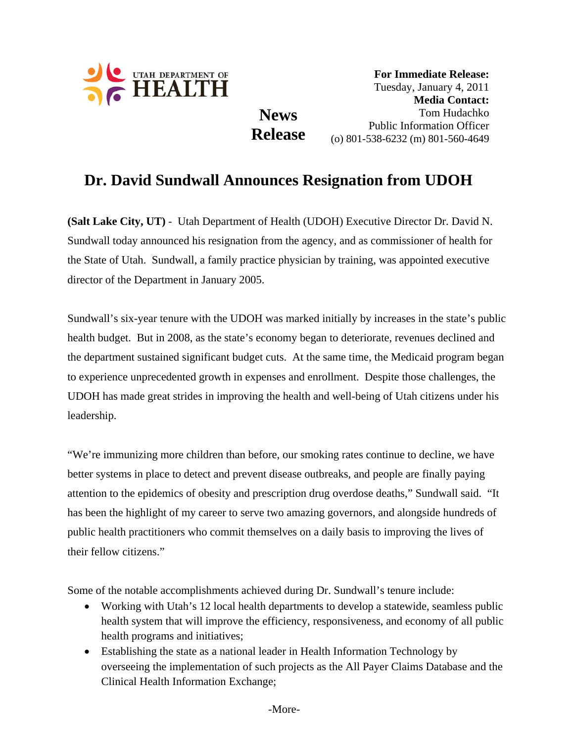

**News Release** 

**For Immediate Release:**  Tuesday, January 4, 2011 **Media Contact:**  Tom Hudachko Public Information Officer (o) 801-538-6232 (m) 801-560-4649

## **Dr. David Sundwall Announces Resignation from UDOH**

**(Salt Lake City, UT)** - Utah Department of Health (UDOH) Executive Director Dr. David N. Sundwall today announced his resignation from the agency, and as commissioner of health for the State of Utah. Sundwall, a family practice physician by training, was appointed executive director of the Department in January 2005.

Sundwall's six-year tenure with the UDOH was marked initially by increases in the state's public health budget. But in 2008, as the state's economy began to deteriorate, revenues declined and the department sustained significant budget cuts. At the same time, the Medicaid program began to experience unprecedented growth in expenses and enrollment. Despite those challenges, the UDOH has made great strides in improving the health and well-being of Utah citizens under his leadership.

"We're immunizing more children than before, our smoking rates continue to decline, we have better systems in place to detect and prevent disease outbreaks, and people are finally paying attention to the epidemics of obesity and prescription drug overdose deaths," Sundwall said. "It has been the highlight of my career to serve two amazing governors, and alongside hundreds of public health practitioners who commit themselves on a daily basis to improving the lives of their fellow citizens."

Some of the notable accomplishments achieved during Dr. Sundwall's tenure include:

- Working with Utah's 12 local health departments to develop a statewide, seamless public health system that will improve the efficiency, responsiveness, and economy of all public health programs and initiatives;
- Establishing the state as a national leader in Health Information Technology by overseeing the implementation of such projects as the All Payer Claims Database and the Clinical Health Information Exchange;